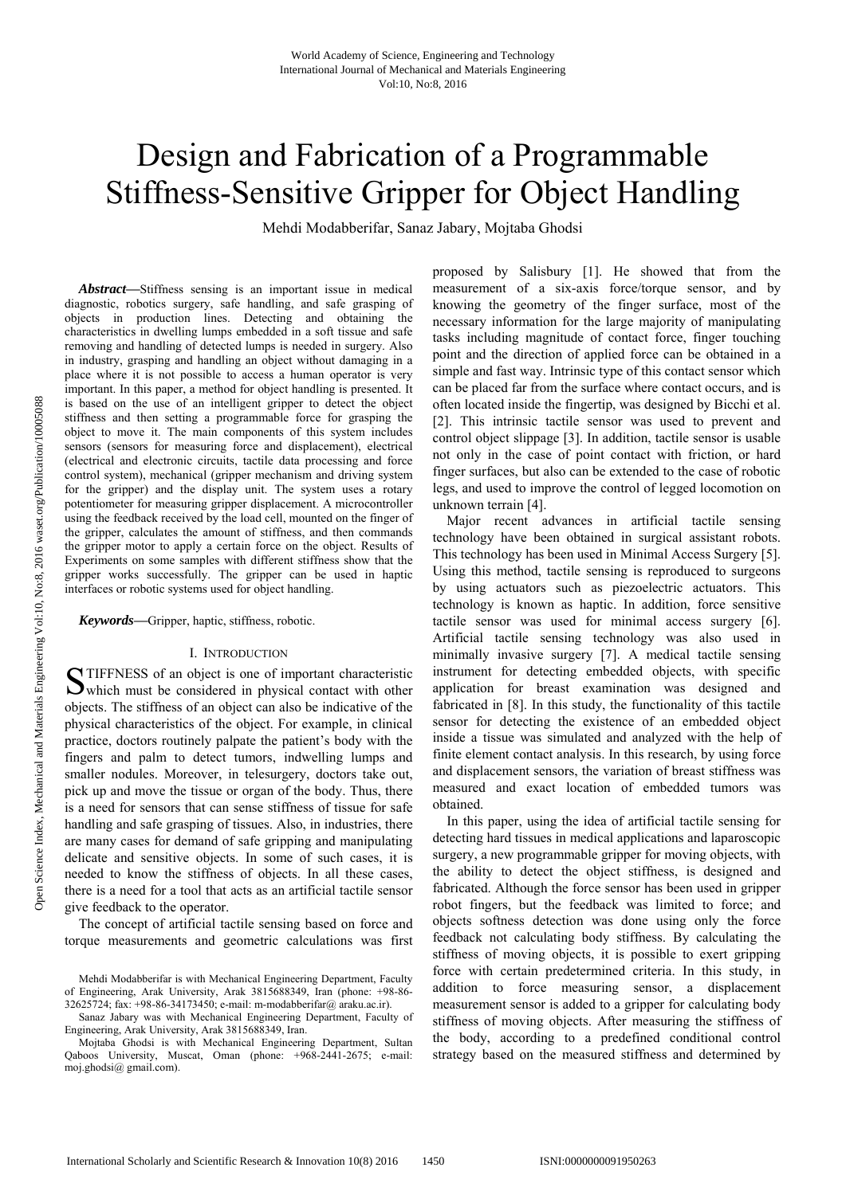# Design and Fabrication of a Programmable Stiffness-Sensitive Gripper for Object Handling

Mehdi Modabberifar, Sanaz Jabary, Mojtaba Ghodsi

*Abstract***—**Stiffness sensing is an important issue in medical diagnostic, robotics surgery, safe handling, and safe grasping of objects in production lines. Detecting and obtaining the characteristics in dwelling lumps embedded in a soft tissue and safe removing and handling of detected lumps is needed in surgery. Also in industry, grasping and handling an object without damaging in a place where it is not possible to access a human operator is very important. In this paper, a method for object handling is presented. It is based on the use of an intelligent gripper to detect the object stiffness and then setting a programmable force for grasping the object to move it. The main components of this system includes sensors (sensors for measuring force and displacement), electrical (electrical and electronic circuits, tactile data processing and force control system), mechanical (gripper mechanism and driving system for the gripper) and the display unit. The system uses a rotary potentiometer for measuring gripper displacement. A microcontroller using the feedback received by the load cell, mounted on the finger of the gripper, calculates the amount of stiffness, and then commands the gripper motor to apply a certain force on the object. Results of Experiments on some samples with different stiffness show that the gripper works successfully. The gripper can be used in haptic interfaces or robotic systems used for object handling.

*Keywords***—**Gripper, haptic, stiffness, robotic.

#### I. INTRODUCTION

TIFFNESS of an object is one of important characteristic STIFFNESS of an object is one of important characteristic<br>Wuhich must be considered in physical contact with other objects. The stiffness of an object can also be indicative of the physical characteristics of the object. For example, in clinical practice, doctors routinely palpate the patient's body with the fingers and palm to detect tumors, indwelling lumps and smaller nodules. Moreover, in telesurgery, doctors take out, pick up and move the tissue or organ of the body. Thus, there is a need for sensors that can sense stiffness of tissue for safe handling and safe grasping of tissues. Also, in industries, there are many cases for demand of safe gripping and manipulating delicate and sensitive objects. In some of such cases, it is needed to know the stiffness of objects. In all these cases, there is a need for a tool that acts as an artificial tactile sensor give feedback to the operator.

The concept of artificial tactile sensing based on force and torque measurements and geometric calculations was first proposed by Salisbury [1]. He showed that from the measurement of a six-axis force/torque sensor, and by knowing the geometry of the finger surface, most of the necessary information for the large majority of manipulating tasks including magnitude of contact force, finger touching point and the direction of applied force can be obtained in a simple and fast way. Intrinsic type of this contact sensor which can be placed far from the surface where contact occurs, and is often located inside the fingertip, was designed by Bicchi et al. [2]. This intrinsic tactile sensor was used to prevent and control object slippage [3]. In addition, tactile sensor is usable not only in the case of point contact with friction, or hard finger surfaces, but also can be extended to the case of robotic legs, and used to improve the control of legged locomotion on unknown terrain [4].

Major recent advances in artificial tactile sensing technology have been obtained in surgical assistant robots. This technology has been used in Minimal Access Surgery [5]. Using this method, tactile sensing is reproduced to surgeons by using actuators such as piezoelectric actuators. This technology is known as haptic. In addition, force sensitive tactile sensor was used for minimal access surgery [6]. Artificial tactile sensing technology was also used in minimally invasive surgery [7]. A medical tactile sensing instrument for detecting embedded objects, with specific application for breast examination was designed and fabricated in [8]. In this study, the functionality of this tactile sensor for detecting the existence of an embedded object inside a tissue was simulated and analyzed with the help of finite element contact analysis. In this research, by using force and displacement sensors, the variation of breast stiffness was measured and exact location of embedded tumors was obtained.

In this paper, using the idea of artificial tactile sensing for detecting hard tissues in medical applications and laparoscopic surgery, a new programmable gripper for moving objects, with the ability to detect the object stiffness, is designed and fabricated. Although the force sensor has been used in gripper robot fingers, but the feedback was limited to force; and objects softness detection was done using only the force feedback not calculating body stiffness. By calculating the stiffness of moving objects, it is possible to exert gripping force with certain predetermined criteria. In this study, in addition to force measuring sensor, a displacement measurement sensor is added to a gripper for calculating body stiffness of moving objects. After measuring the stiffness of the body, according to a predefined conditional control strategy based on the measured stiffness and determined by

Mehdi Modabberifar is with Mechanical Engineering Department, Faculty of Engineering, Arak University, Arak 3815688349, Iran (phone: +98-86- 32625724; fax: +98-86-34173450; e-mail: m-modabberifar@ araku.ac.ir).

Sanaz Jabary was with Mechanical Engineering Department, Faculty of Engineering, Arak University, Arak 3815688349, Iran.

Mojtaba Ghodsi is with Mechanical Engineering Department, Sultan Qaboos University, Muscat, Oman (phone: +968-2441-2675; e-mail: moj.ghodsi@ gmail.com).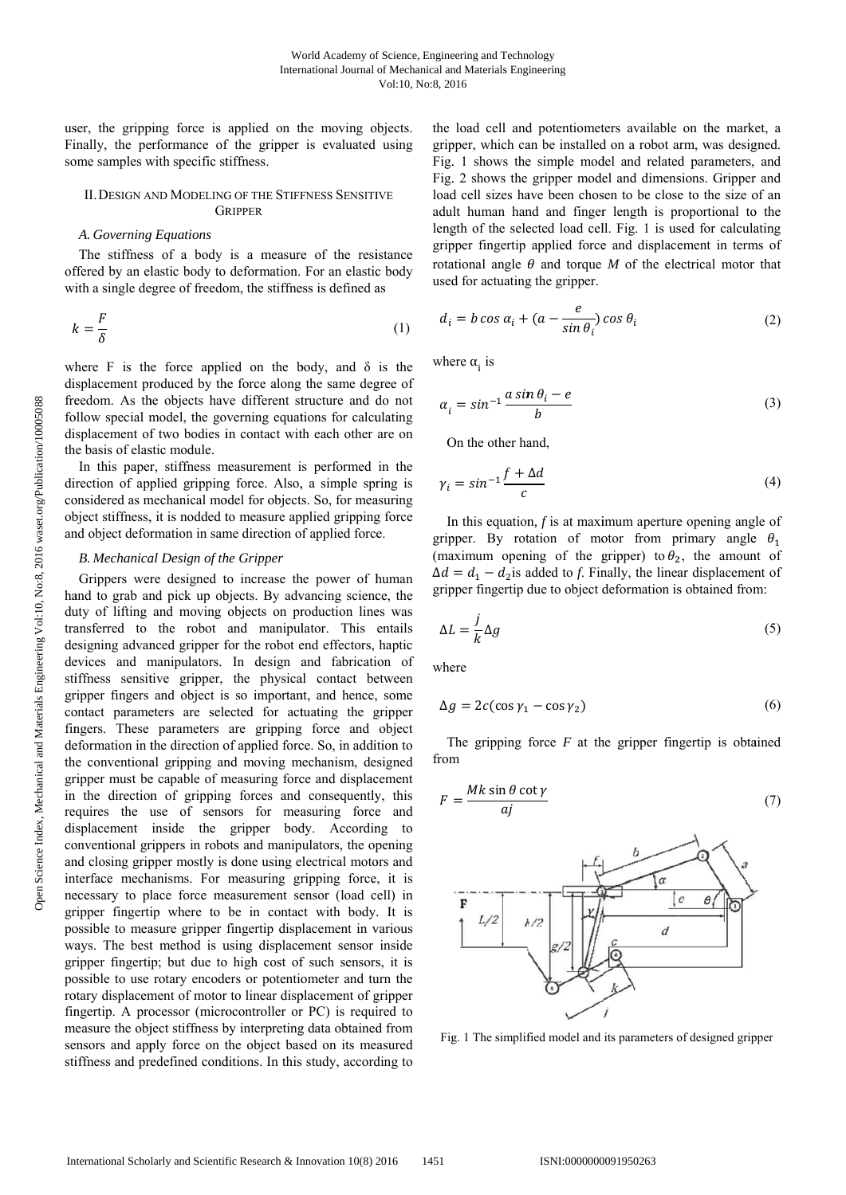user, the gripping force is applied on the moving objects. Finally, the performance of the gripper is evaluated using some samples with specific stiffness.

#### II. DESIGN AND MODELING OF THE STIFFNESS SENSITIVE **GRIPPER**

## A. Governing Equations

The stiffness of a body is a measure of the resistance offered by an elastic body to deformation. For an elastic body with a single degree of freedom, the stiffness is defined as

$$
k = \frac{F}{\delta} \tag{1}
$$

where F is the force applied on the body, and  $\delta$  is the displacement produced by the force along the same degree of freedom. As the objects have different structure and do not follow special model, the governing equations for calculating displacement of two bodies in contact with each other are on the basis of elastic module.

In this paper, stiffness measurement is performed in the direction of applied gripping force. Also, a simple spring is considered as mechanical model for objects. So, for measuring object stiffness, it is nodded to measure applied gripping force and object deformation in same direction of applied force.

## **B.** Mechanical Design of the Gripper

Grippers were designed to increase the power of human hand to grab and pick up objects. By advancing science, the duty of lifting and moving objects on production lines was transferred to the robot and manipulator. This entails designing advanced gripper for the robot end effectors, haptic devices and manipulators. In design and fabrication of stiffness sensitive gripper, the physical contact between gripper fingers and object is so important, and hence, some contact parameters are selected for actuating the gripper fingers. These parameters are gripping force and object deformation in the direction of applied force. So, in addition to the conventional gripping and moving mechanism, designed gripper must be capable of measuring force and displacement in the direction of gripping forces and consequently, this requires the use of sensors for measuring force and displacement inside the gripper body. According to conventional grippers in robots and manipulators, the opening and closing gripper mostly is done using electrical motors and interface mechanisms. For measuring gripping force, it is necessary to place force measurement sensor (load cell) in gripper fingertip where to be in contact with body. It is possible to measure gripper fingertip displacement in various ways. The best method is using displacement sensor inside gripper fingertip; but due to high cost of such sensors, it is possible to use rotary encoders or potentiometer and turn the rotary displacement of motor to linear displacement of gripper fingertip. A processor (microcontroller or PC) is required to measure the object stiffness by interpreting data obtained from sensors and apply force on the object based on its measured stiffness and predefined conditions. In this study, according to

the load cell and potentiometers available on the market, a gripper, which can be installed on a robot arm, was designed. Fig. 1 shows the simple model and related parameters, and Fig. 2 shows the gripper model and dimensions. Gripper and load cell sizes have been chosen to be close to the size of an adult human hand and finger length is proportional to the length of the selected load cell. Fig. 1 is used for calculating gripper fingertip applied force and displacement in terms of rotational angle  $\theta$  and torque M of the electrical motor that used for actuating the gripper.

$$
d_i = b \cos \alpha_i + (a - \frac{e}{\sin \theta_i}) \cos \theta_i
$$
 (2)

where  $\alpha_i$  is

$$
\alpha_i = \sin^{-1} \frac{a \sin \theta_i - e}{b} \tag{3}
$$

On the other hand.

$$
\gamma_i = \sin^{-1} \frac{f + \Delta d}{c} \tag{4}
$$

In this equation,  $f$  is at maximum aperture opening angle of gripper. By rotation of motor from primary angle  $\theta_1$ (maximum opening of the gripper) to  $\theta_2$ , the amount of  $\Delta d = d_1 - d_2$  is added to f. Finally, the linear displacement of gripper fingertip due to object deformation is obtained from:

$$
\Delta L = \frac{j}{k} \Delta g \tag{5}
$$

where

$$
\Delta g = 2c(\cos \gamma_1 - \cos \gamma_2) \tag{6}
$$

The gripping force  $F$  at the gripper fingertip is obtained from

$$
F = \frac{Mk \sin \theta \cot \gamma}{aj} \tag{7}
$$



Fig. 1 The simplified model and its parameters of designed gripper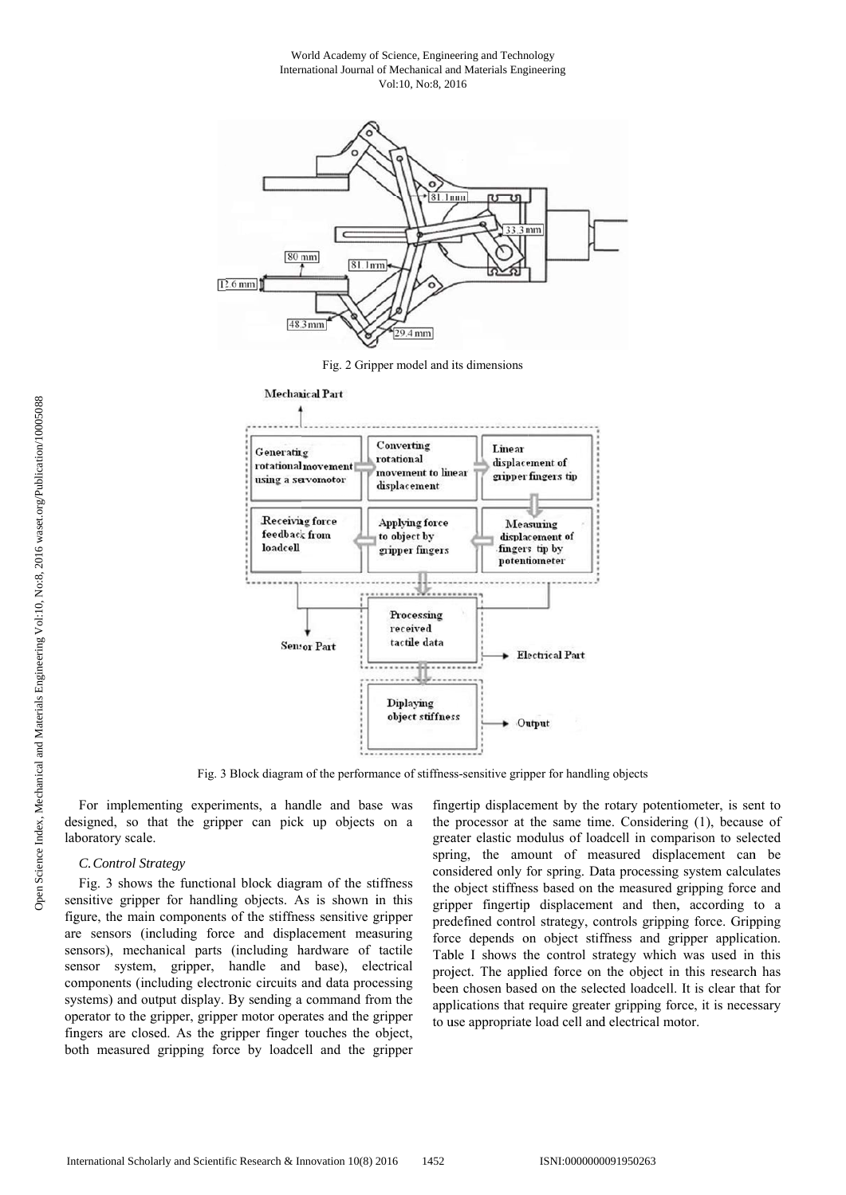World Academy of Science, Engineering and Technology International Journal of Mechanical and Materials Engineering Vol:10, No:8, 2016



Fig. 2 Gripper model and its dimensions



Fig. 3 Block diagram of the performance of stiffness-sensitive gripper for handling objects

For implementing experiments, a handle and base was designed, so that the gripper can pick up objects on a laboratory scale.

#### C. Control Strategy

Fig. 3 shows the functional block diagram of the stiffness sensitive gripper for handling objects. As is shown in this figure, the main components of the stiffness sensitive gripper are sensors (including force and displacement measuring sensors), mechanical parts (including hardware of tactile sensor system, gripper, handle and base), electrical components (including electronic circuits and data processing systems) and output display. By sending a command from the operator to the gripper, gripper motor operates and the gripper fingers are closed. As the gripper finger touches the object, both measured gripping force by loadcell and the gripper

fingertip displacement by the rotary potentiometer, is sent to the processor at the same time. Considering (1), because of greater elastic modulus of loadcell in comparison to selected spring, the amount of measured displacement can be considered only for spring. Data processing system calculates the object stiffness based on the measured gripping force and gripper fingertip displacement and then, according to a predefined control strategy, controls gripping force. Gripping force depends on object stiffness and gripper application. Table I shows the control strategy which was used in this project. The applied force on the object in this research has been chosen based on the selected loadcell. It is clear that for applications that require greater gripping force, it is necessary to use appropriate load cell and electrical motor.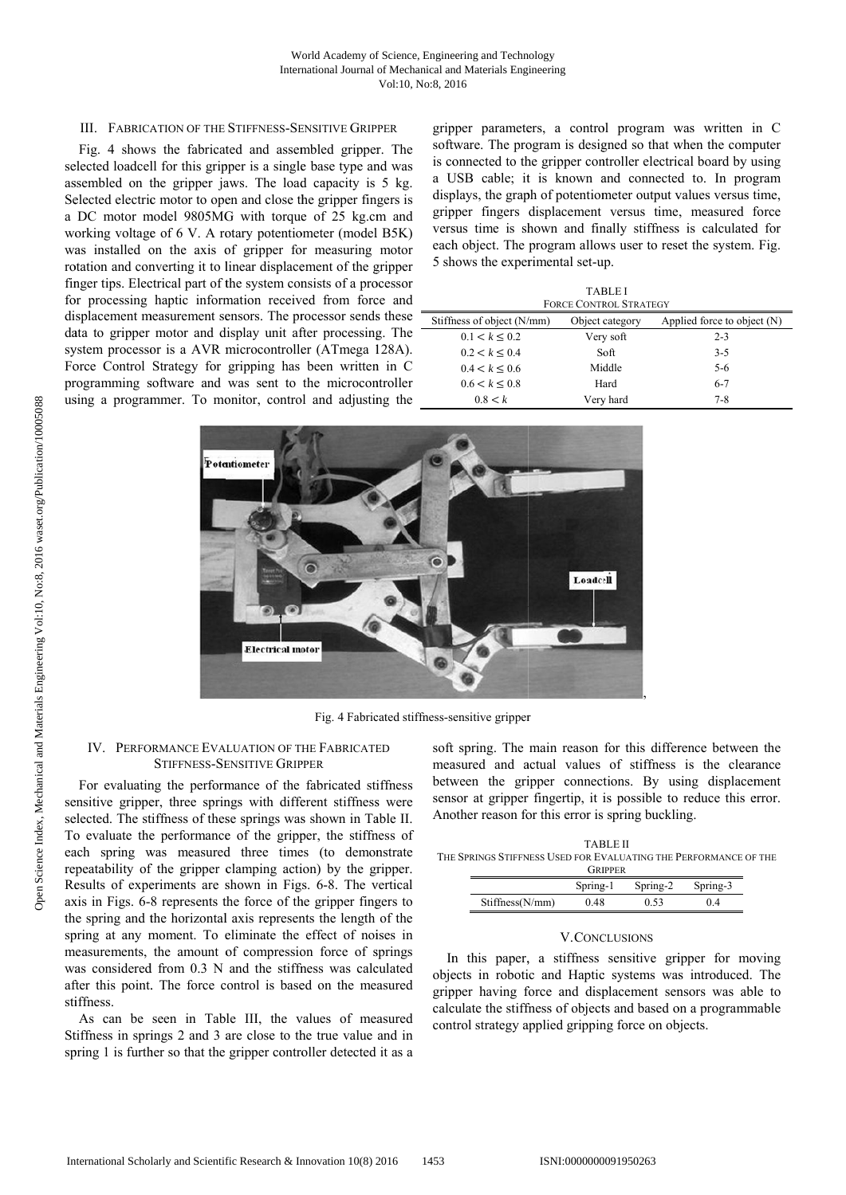## III. FABRICATION OF THE STIFFNESS-SENSITIVE GRIPPER

Fig. 4 shows the fabricated and assembled gripper. The selected loadcell for this gripper is a single base type and was assembled on the gripper jaws. The load capacity is 5 kg. Selected electric motor to open and close the gripper fingers is a DC motor model 9805MG with torque of 25 kg.cm and working voltage of 6 V. A rotary potentiometer (model B5K) was installed on the axis of gripper for measuring motor rotation and converting it to linear displacement of the gripper finger tips. Electrical part of the system consists of a processor for processing haptic information received from force and displacement measurement sensors. The processor sends these data to gripper motor and display unit after processing. The system processor is a AVR microcontroller (ATmega 128A). Force Control Strategy for gripping has been written in C programming software and was sent to the microcontroller using a programmer. To monitor, control and adjusting the

gripper parameters, a control program was written in C software. The program is designed so that when the computer is connected to the gripper controller electrical board by using a USB cable; it is known and connected to. In program displays, the graph of potentiometer output values versus time, gripper fingers displacement versus time, measured force versus time is shown and finally stiffness is calculated for each object. The program allows user to reset the system. Fig. 5 shows the experimental set-up.

| <b>TABLEI</b><br><b>FORCE CONTROL STRATEGY</b> |                 |                               |  |  |  |  |
|------------------------------------------------|-----------------|-------------------------------|--|--|--|--|
| Stiffness of object (N/mm)                     | Object category | Applied force to object $(N)$ |  |  |  |  |
| 0.1 < k < 0.2                                  | Very soft       | $2 - 3$                       |  |  |  |  |
| 0.2 < k < 0.4                                  | Soft            | $3-5$                         |  |  |  |  |
| 0.4 < k < 0.6                                  | Middle          | $5 - 6$                       |  |  |  |  |
| 0.6 < k < 0.8                                  | Hard            | $6 - 7$                       |  |  |  |  |
| 0.8 < k                                        | Very hard       | $7 - 8$                       |  |  |  |  |



Fig. 4 Fabricated stiffness-sensitive gripper

## IV. PERFORMANCE EVALUATION OF THE FABRICATED **STIFFNESS-SENSITIVE GRIPPER**

For evaluating the performance of the fabricated stiffness sensitive gripper, three springs with different stiffness were selected. The stiffness of these springs was shown in Table II. To evaluate the performance of the gripper, the stiffness of each spring was measured three times (to demonstrate repeatability of the gripper clamping action) by the gripper. Results of experiments are shown in Figs. 6-8. The vertical axis in Figs. 6-8 represents the force of the gripper fingers to the spring and the horizontal axis represents the length of the spring at any moment. To eliminate the effect of noises in measurements, the amount of compression force of springs was considered from 0.3 N and the stiffness was calculated after this point. The force control is based on the measured stiffness.

As can be seen in Table III, the values of measured Stiffness in springs 2 and 3 are close to the true value and in spring 1 is further so that the gripper controller detected it as a soft spring. The main reason for this difference between the measured and actual values of stiffness is the clearance between the gripper connections. By using displacement sensor at gripper fingertip, it is possible to reduce this error. Another reason for this error is spring buckling.

**TABLE II** THE SPRINGS STIFFNESS USED FOR EVALUATING THE PERFORMANCE OF THE **G**<sub>D</sub>IDDED</sub>

|                 | $\sum_{i=1}^{n}$ |          |          |  |  |
|-----------------|------------------|----------|----------|--|--|
|                 | Spring-1         | Spring-2 | Spring-3 |  |  |
| Stiffness(N/mm) | 0.48             | 0.53     | () 4     |  |  |

#### **V.CONCLUSIONS**

In this paper, a stiffness sensitive gripper for moving objects in robotic and Haptic systems was introduced. The gripper having force and displacement sensors was able to calculate the stiffness of objects and based on a programmable control strategy applied gripping force on objects.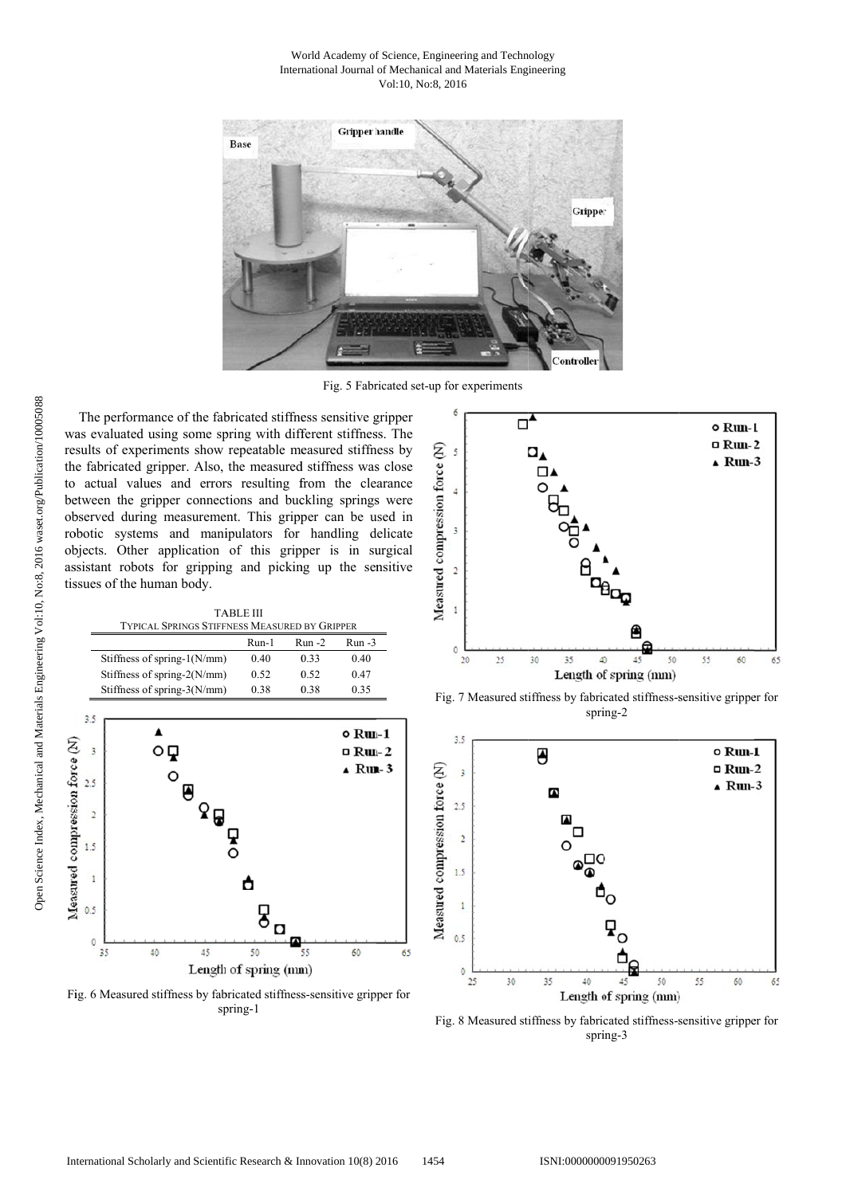#### World Academy of Science, Engineering and Technology International Journal of Mechanical and Materials Engineering Vol:10, No:8, 2016



Fig. 5 Fabricated set-up for experiments

The performance of the fabricated stiffness sensitive gripper was evaluated using some spring with different stiffness. The results of experiments show repeatable measured stiffness by the fabricated gripper. Also, the measured stiffness was close to actual values and errors resulting from the clearance between the gripper connections and buckling springs were observed during measurement. This gripper can be used in robotic systems and manipulators for handling delicate objects. Other application of this gripper is in surgical assistant robots for gripping and picking up the sensitive tissues of the human body.

**TABLE III** TYPICAL SPRINGS STIFFNESS MEASURED BY GRIPPER

|                                | $Run-1$ | $Run -2$ | Run -3 |
|--------------------------------|---------|----------|--------|
| Stiffness of spring- $1(N/mm)$ | 0.40    | 0.33     | 0.40   |
| Stiffness of spring- $2(N/mm)$ | 0.52    | 0.52     | 0.47   |
| Stiffness of spring- $3(N/mm)$ | 0.38    | 0.38     | 0.35   |



Fig. 6 Measured stiffness by fabricated stiffness-sensitive gripper for spring-1



Fig. 7 Measured stiffness by fabricated stiffness-sensitive gripper for spring-2



Fig. 8 Measured stiffness by fabricated stiffness-sensitive gripper for spring-3